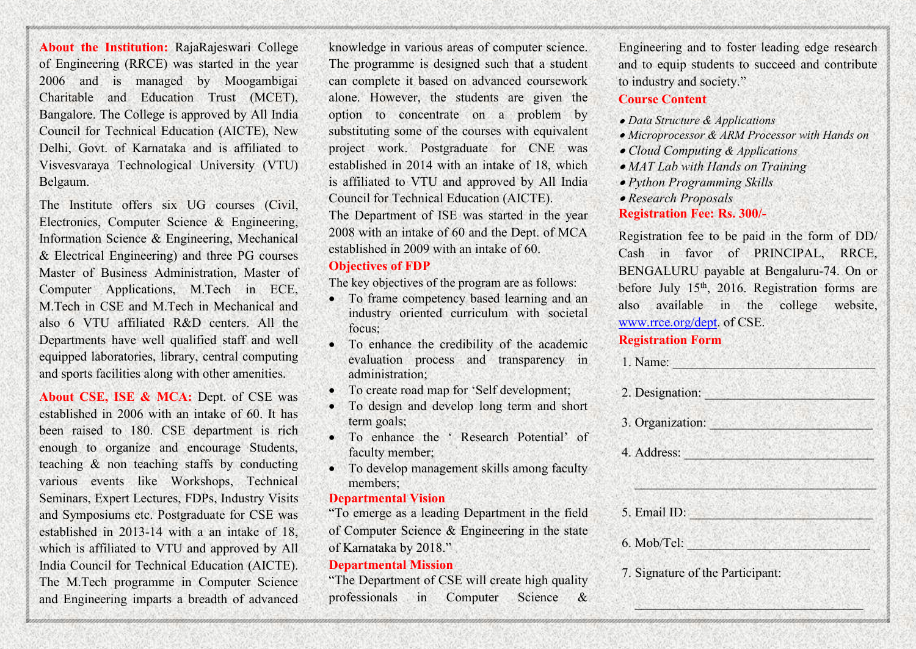**About the Institution:** RajaRajeswari College of Engineering (RRCE) was started in the year 2006 and is managed by Moogambigai Charitable and Education Trust (MCET), Bangalore. The College is approved by All India Council for Technical Education (AICTE), New Delhi, Govt. of Karnataka and is affiliated to Visvesvaraya Technological University (VTU) Belgaum.

The Institute offers six UG courses (Civil, Electronics, Computer Science & Engineering, Information Science & Engineering, Mechanical & Electrical Engineering) and three PG courses Master of Business Administration, Master of Computer Applications, M.Tech in ECE, M.Tech in CSE and M.Tech in Mechanical and also  $6$  VTU affiliated R&D centers. All the Departments have well qualified staff and well equipped laboratories, library, central computing and sports facilities along with other amenities.

**About CSE, ISE & MCA:** Dept. of CSE was established in 2006 with an intake of 60. It has been raised to 180. CSE department is rich enough to organize and encourage Students, teaching & non teaching staffs by conducting various events like Workshops, Technical Seminars, Expert Lectures, FDPs, Industry Visits and Symposiums etc. Postgraduate for CSE was established in 2013-14 with a an intake of 18, which is affiliated to VTU and approved by All India Council for Technical Education (AICTE). The M.Tech programme in Computer Science and Engineering imparts a breadth of advanced

knowledge in various areas of computer science. The programme is designed such that a student can complete it based on advanced coursework alone. However, the students are given the option to concentrate on a problem by substituting some of the courses with equivalent project work. Postgraduate for CNE was established in 2014 with an intake of 18, which is affiliated to VTU and approved by All India Council for Technical Education (AICTE). The Department of ISE was started in the year 2008 with an intake of 60 and the Dept. of MCA established in 2009 with an intake of 60.

#### **Objectives** of **FDP**

The key objectives of the program are as follows:

- To frame competency based learning and an industry oriented curriculum with societal focus;
- To enhance the credibility of the academic evaluation process and transparency in administration;
- To create road map for 'Self development;
- To design and develop long term and short term goals;
- To enhance the ' Research Potential' of faculty member;
- To develop management skills among faculty members;

#### **Departmental Vision**

"To emerge as a leading Department in the field of Computer Science  $\&$  Engineering in the state of Karnataka by 2018."

#### **Departmental Mission**

"The Department of CSE will create high quality professionals in Computer Science & Engineering and to foster leading edge research and to equip students to succeed and contribute to industry and society."

#### **Course Content**

- *Data Structure & Applications*
- *Microprocessor & ARM Processor with Hands on*
- *Cloud Computing & Applications*
- *MAT Lab with Hands on Training*
- *Python Programming Skills*
- *Research Proposals* **Registration Fee: Rs. 300/-**

Registration fee to be paid in the form of DD/ Cash in favor of PRINCIPAL, RRCE, BENGALURU payable at Bengaluru-74. On or before July 15<sup>th</sup>, 2016. Registration forms are also available in the college website, [www.rrce.org/dept.](http://www.rrce.org/dept) of CSE.

### **Registration Form**

| 1. Name:                         |  |
|----------------------------------|--|
| 2. Designation:                  |  |
| 3. Organization:                 |  |
| 4. Address: Andrew March 2014    |  |
|                                  |  |
| 5. Email ID:                     |  |
| 6. Mob/Tel:                      |  |
| 7. Signature of the Participant: |  |
|                                  |  |